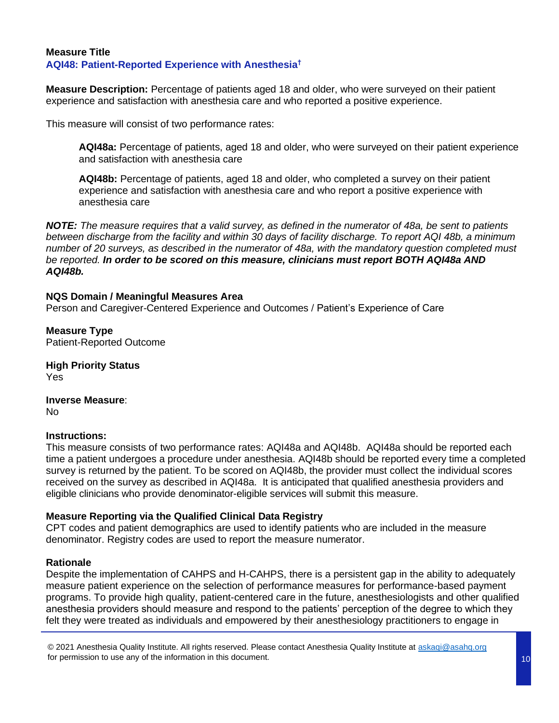## **Measure Title AQI48: Patient-Reported Experience with Anesthesia†**

**Measure Description:** Percentage of patients aged 18 and older, who were surveyed on their patient experience and satisfaction with anesthesia care and who reported a positive experience.

This measure will consist of two performance rates:

**AQI48a:** Percentage of patients, aged 18 and older, who were surveyed on their patient experience and satisfaction with anesthesia care

**AQI48b:** Percentage of patients, aged 18 and older, who completed a survey on their patient experience and satisfaction with anesthesia care and who report a positive experience with anesthesia care

*NOTE: The measure requires that a valid survey, as defined in the numerator of 48a, be sent to patients between discharge from the facility and within 30 days of facility discharge. To report AQI 48b, a minimum number of 20 surveys, as described in the numerator of 48a, with the mandatory question completed must be reported. In order to be scored on this measure, clinicians must report BOTH AQI48a AND AQI48b.*

## **NQS Domain / Meaningful Measures Area**

Person and Caregiver-Centered Experience and Outcomes / Patient's Experience of Care

**Measure Type** Patient-Reported Outcome

**High Priority Status** Yes

**Inverse Measure**: No

## **Instructions:**

This measure consists of two performance rates: AQI48a and AQI48b. AQI48a should be reported each time a patient undergoes a procedure under anesthesia. AQI48b should be reported every time a completed survey is returned by the patient. To be scored on AQI48b, the provider must collect the individual scores received on the survey as described in AQI48a. It is anticipated that qualified anesthesia providers and eligible clinicians who provide denominator-eligible services will submit this measure.

## **Measure Reporting via the Qualified Clinical Data Registry**

CPT codes and patient demographics are used to identify patients who are included in the measure denominator. Registry codes are used to report the measure numerator.

## **Rationale**

Despite the implementation of CAHPS and H-CAHPS, there is a persistent gap in the ability to adequately measure patient experience on the selection of performance measures for performance-based payment programs. To provide high quality, patient-centered care in the future, anesthesiologists and other qualified anesthesia providers should measure and respond to the patients' perception of the degree to which they felt they were treated as individuals and empowered by their anesthesiology practitioners to engage in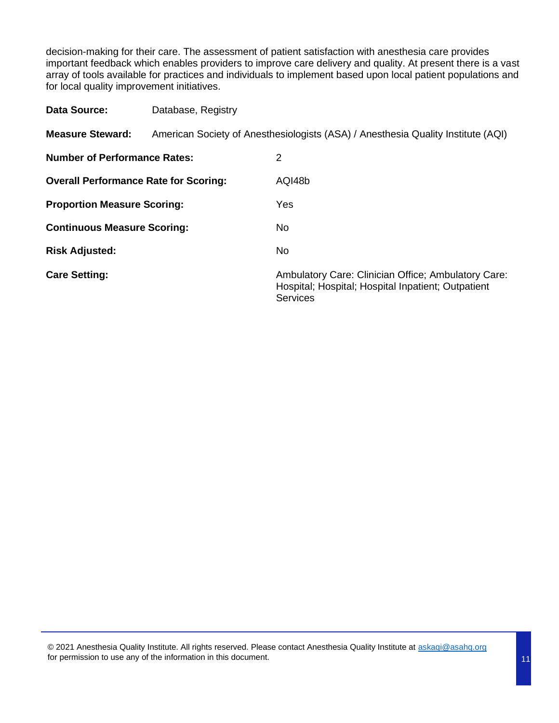decision-making for their care. The assessment of patient satisfaction with anesthesia care provides important feedback which enables providers to improve care delivery and quality. At present there is a vast array of tools available for practices and individuals to implement based upon local patient populations and for local quality improvement initiatives.

| Data Source:                                 | Database, Registry |                                                                                                                              |
|----------------------------------------------|--------------------|------------------------------------------------------------------------------------------------------------------------------|
| <b>Measure Steward:</b>                      |                    | American Society of Anesthesiologists (ASA) / Anesthesia Quality Institute (AQI)                                             |
| <b>Number of Performance Rates:</b>          |                    | 2                                                                                                                            |
| <b>Overall Performance Rate for Scoring:</b> |                    | AQI48b                                                                                                                       |
| <b>Proportion Measure Scoring:</b>           |                    | Yes                                                                                                                          |
| <b>Continuous Measure Scoring:</b>           |                    | No.                                                                                                                          |
| <b>Risk Adjusted:</b>                        |                    | No.                                                                                                                          |
| <b>Care Setting:</b>                         |                    | Ambulatory Care: Clinician Office; Ambulatory Care:<br>Hospital; Hospital; Hospital Inpatient; Outpatient<br><b>Services</b> |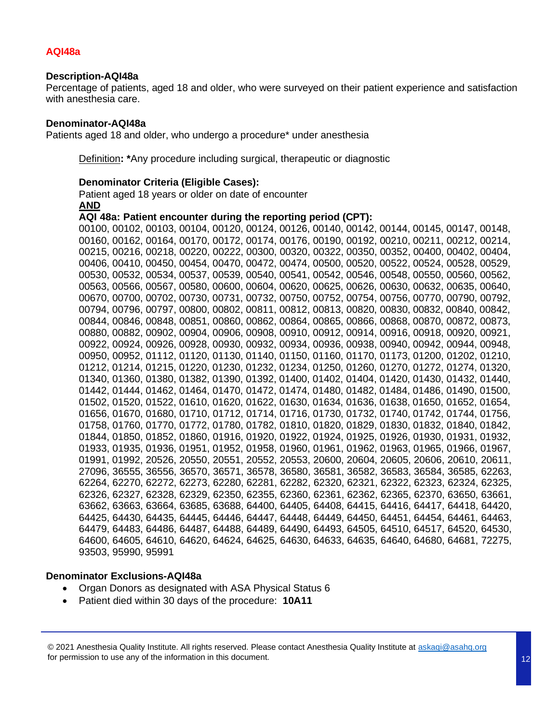## **AQI48a**

## **Description-AQI48a**

Percentage of patients, aged 18 and older, who were surveyed on their patient experience and satisfaction with anesthesia care.

#### **Denominator-AQI48a**

Patients aged 18 and older, who undergo a procedure\* under anesthesia

Definition**: \***Any procedure including surgical, therapeutic or diagnostic

#### **Denominator Criteria (Eligible Cases):**

Patient aged 18 years or older on date of encounter **AND**

#### **AQI 48a: Patient encounter during the reporting period (CPT):**

00100, 00102, 00103, 00104, 00120, 00124, 00126, 00140, 00142, 00144, 00145, 00147, 00148, 00160, 00162, 00164, 00170, 00172, 00174, 00176, 00190, 00192, 00210, 00211, 00212, 00214, 00215, 00216, 00218, 00220, 00222, 00300, 00320, 00322, 00350, 00352, 00400, 00402, 00404, 00406, 00410, 00450, 00454, 00470, 00472, 00474, 00500, 00520, 00522, 00524, 00528, 00529, 00530, 00532, 00534, 00537, 00539, 00540, 00541, 00542, 00546, 00548, 00550, 00560, 00562, 00563, 00566, 00567, 00580, 00600, 00604, 00620, 00625, 00626, 00630, 00632, 00635, 00640, 00670, 00700, 00702, 00730, 00731, 00732, 00750, 00752, 00754, 00756, 00770, 00790, 00792, 00794, 00796, 00797, 00800, 00802, 00811, 00812, 00813, 00820, 00830, 00832, 00840, 00842, 00844, 00846, 00848, 00851, 00860, 00862, 00864, 00865, 00866, 00868, 00870, 00872, 00873, 00880, 00882, 00902, 00904, 00906, 00908, 00910, 00912, 00914, 00916, 00918, 00920, 00921, 00922, 00924, 00926, 00928, 00930, 00932, 00934, 00936, 00938, 00940, 00942, 00944, 00948, 00950, 00952, 01112, 01120, 01130, 01140, 01150, 01160, 01170, 01173, 01200, 01202, 01210, 01212, 01214, 01215, 01220, 01230, 01232, 01234, 01250, 01260, 01270, 01272, 01274, 01320, 01340, 01360, 01380, 01382, 01390, 01392, 01400, 01402, 01404, 01420, 01430, 01432, 01440, 01442, 01444, 01462, 01464, 01470, 01472, 01474, 01480, 01482, 01484, 01486, 01490, 01500, 01502, 01520, 01522, 01610, 01620, 01622, 01630, 01634, 01636, 01638, 01650, 01652, 01654, 01656, 01670, 01680, 01710, 01712, 01714, 01716, 01730, 01732, 01740, 01742, 01744, 01756, 01758, 01760, 01770, 01772, 01780, 01782, 01810, 01820, 01829, 01830, 01832, 01840, 01842, 01844, 01850, 01852, 01860, 01916, 01920, 01922, 01924, 01925, 01926, 01930, 01931, 01932, 01933, 01935, 01936, 01951, 01952, 01958, 01960, 01961, 01962, 01963, 01965, 01966, 01967, 01991, 01992, 20526, 20550, 20551, 20552, 20553, 20600, 20604, 20605, 20606, 20610, 20611, 27096, 36555, 36556, 36570, 36571, 36578, 36580, 36581, 36582, 36583, 36584, 36585, 62263, 62264, 62270, 62272, 62273, 62280, 62281, 62282, 62320, 62321, 62322, 62323, 62324, 62325, 62326, 62327, 62328, 62329, 62350, 62355, 62360, 62361, 62362, 62365, 62370, 63650, 63661, 63662, 63663, 63664, 63685, 63688, 64400, 64405, 64408, 64415, 64416, 64417, 64418, 64420, 64425, 64430, 64435, 64445, 64446, 64447, 64448, 64449, 64450, 64451, 64454, 64461, 64463, 64479, 64483, 64486, 64487, 64488, 64489, 64490, 64493, 64505, 64510, 64517, 64520, 64530, 64600, 64605, 64610, 64620, 64624, 64625, 64630, 64633, 64635, 64640, 64680, 64681, 72275, 93503, 95990, 95991

#### **Denominator Exclusions-AQI48a**

- Organ Donors as designated with ASA Physical Status 6
- Patient died within 30 days of the procedure: **10A11**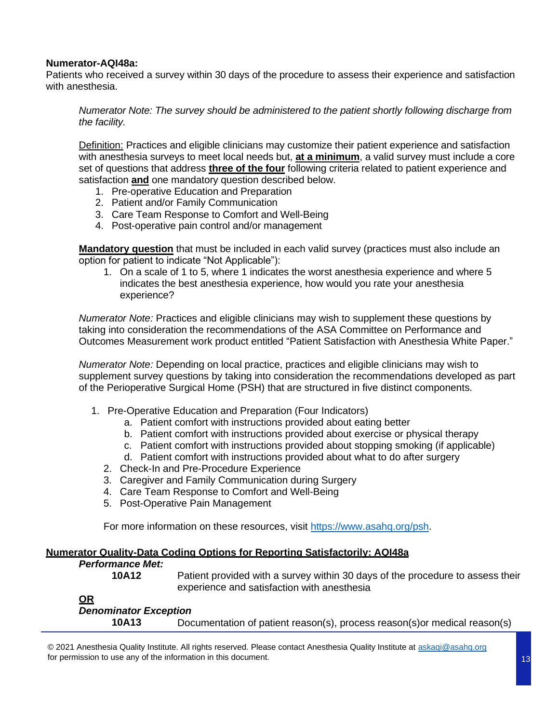## **Numerator-AQI48a:**

Patients who received a survey within 30 days of the procedure to assess their experience and satisfaction with anesthesia.

*Numerator Note: The survey should be administered to the patient shortly following discharge from the facility.*

Definition: Practices and eligible clinicians may customize their patient experience and satisfaction with anesthesia surveys to meet local needs but, **at a minimum**, a valid survey must include a core set of questions that address **three of the four** following criteria related to patient experience and satisfaction **and** one mandatory question described below.

- 1. Pre-operative Education and Preparation
- 2. Patient and/or Family Communication
- 3. Care Team Response to Comfort and Well-Being
- 4. Post-operative pain control and/or management

**Mandatory question** that must be included in each valid survey (practices must also include an option for patient to indicate "Not Applicable"):

1. On a scale of 1 to 5, where 1 indicates the worst anesthesia experience and where 5 indicates the best anesthesia experience, how would you rate your anesthesia experience?

*Numerator Note:* Practices and eligible clinicians may wish to supplement these questions by taking into consideration the recommendations of the ASA Committee on Performance and Outcomes Measurement work product entitled "Patient Satisfaction with Anesthesia White Paper."

*Numerator Note:* Depending on local practice, practices and eligible clinicians may wish to supplement survey questions by taking into consideration the recommendations developed as part of the Perioperative Surgical Home (PSH) that are structured in five distinct components.

- 1. Pre-Operative Education and Preparation (Four Indicators)
	- a. Patient comfort with instructions provided about eating better
	- b. Patient comfort with instructions provided about exercise or physical therapy
	- c. Patient comfort with instructions provided about stopping smoking (if applicable)
	- d. Patient comfort with instructions provided about what to do after surgery
	- 2. Check-In and Pre-Procedure Experience
	- 3. Caregiver and Family Communication during Surgery
	- 4. Care Team Response to Comfort and Well-Being
	- 5. Post-Operative Pain Management

For more information on these resources, visit https://www.asahq.org/psh.

## **Numerator Quality-Data Coding Options for Reporting Satisfactorily: AQI48a**

| <b>Performance Met:</b>                   |                                                                                                                               |
|-------------------------------------------|-------------------------------------------------------------------------------------------------------------------------------|
| 10A12                                     | Patient provided with a survey within 30 days of the procedure to assess their<br>experience and satisfaction with anesthesia |
| <u>OR</u><br><b>Denominator Exception</b> |                                                                                                                               |
| 10A13                                     | Documentation of patient reason(s), process reason(s) or medical reason(s)                                                    |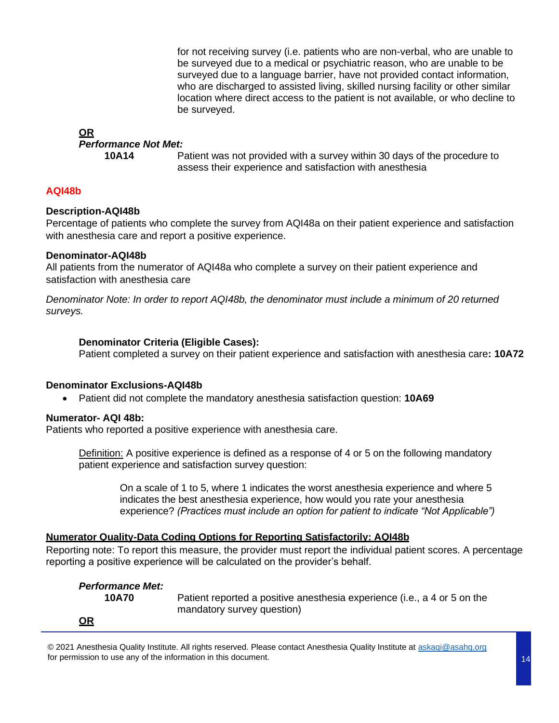for not receiving survey (i.e. patients who are non-verbal, who are unable to be surveyed due to a medical or psychiatric reason, who are unable to be surveyed due to a language barrier, have not provided contact information, who are discharged to assisted living, skilled nursing facility or other similar location where direct access to the patient is not available, or who decline to be surveyed.

## **OR**

## *Performance Not Met:*

**10A14** Patient was not provided with a survey within 30 days of the procedure to assess their experience and satisfaction with anesthesia

## **AQI48b**

## **Description-AQI48b**

Percentage of patients who complete the survey from AQI48a on their patient experience and satisfaction with anesthesia care and report a positive experience.

## **Denominator-AQI48b**

All patients from the numerator of AQI48a who complete a survey on their patient experience and satisfaction with anesthesia care

*Denominator Note: In order to report AQI48b, the denominator must include a minimum of 20 returned surveys.*

## **Denominator Criteria (Eligible Cases):**

Patient completed a survey on their patient experience and satisfaction with anesthesia care**: 10A72**

## **Denominator Exclusions-AQI48b**

• Patient did not complete the mandatory anesthesia satisfaction question: **10A69**

## **Numerator- AQI 48b:**

Patients who reported a positive experience with anesthesia care.

Definition: A positive experience is defined as a response of 4 or 5 on the following mandatory patient experience and satisfaction survey question:

On a scale of 1 to 5, where 1 indicates the worst anesthesia experience and where 5 indicates the best anesthesia experience, how would you rate your anesthesia experience? *(Practices must include an option for patient to indicate "Not Applicable")*

## **Numerator Quality-Data Coding Options for Reporting Satisfactorily: AQI48b**

Reporting note: To report this measure, the provider must report the individual patient scores. A percentage reporting a positive experience will be calculated on the provider's behalf.

| <b>Performance Met:</b> |                                                                          |
|-------------------------|--------------------------------------------------------------------------|
| 10A70                   | Patient reported a positive anesthesia experience (i.e., a 4 or 5 on the |
|                         | mandatory survey question)                                               |
| $\Omega$ R              |                                                                          |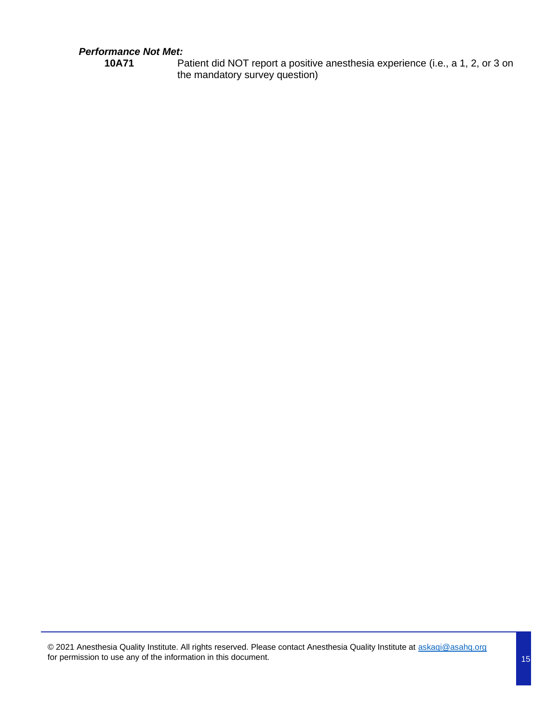## *Performance Not Met:*

**10A71** Patient did NOT report a positive anesthesia experience (i.e., a 1, 2, or 3 on the mandatory survey question)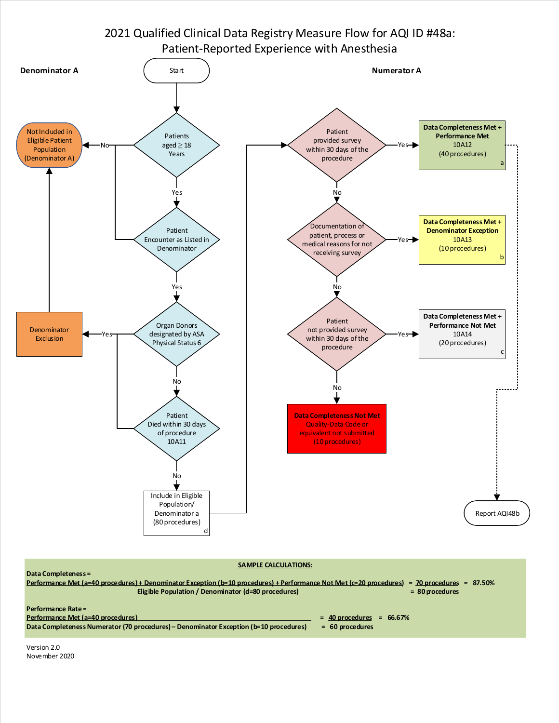## 2021 Qualified Clinical Data Registry Measure Flow for AQI ID #48a: Patient-Reported Experience with Anesthesia



#### **SAMPLE CALCULATIONS:**



Version 2.0 November 2020